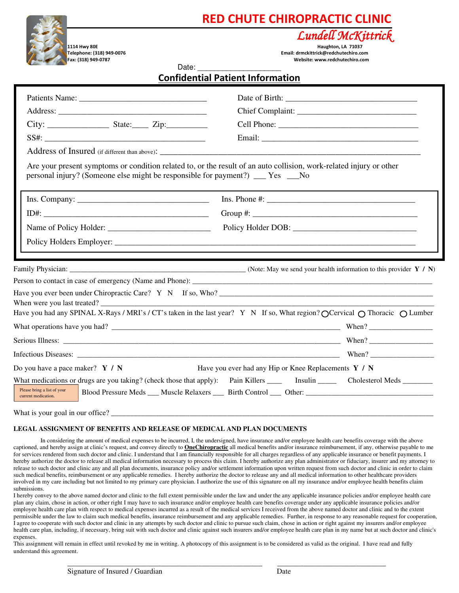## **RED CHUTE CHIROPRACTIC CLINIC**



**1114 Hwy 80E Haughton, LA 71037 Telephone: (318) 949-0076 Email: drmckittrick@redchutechiro.com Fax: (318) 949-0787 Website: www.redchutechiro.com** 

*Lundell McKittrick*

| <b>Confidential Patient Information</b> |
|-----------------------------------------|
|-----------------------------------------|

| Patients Name:<br>personal injury? (Someone else might be responsible for payment?) ___ Yes ___No | Chief Complaint:<br>Are your present symptoms or condition related to, or the result of an auto collision, work-related injury or other                                                                                                                                                              |
|---------------------------------------------------------------------------------------------------|------------------------------------------------------------------------------------------------------------------------------------------------------------------------------------------------------------------------------------------------------------------------------------------------------|
| $Ins. Company: \_$                                                                                |                                                                                                                                                                                                                                                                                                      |
| Have you ever been under Chiropractic Care? Y N If so, Who?<br>When were you last treated?        |                                                                                                                                                                                                                                                                                                      |
|                                                                                                   | Have you had any SPINAL X-Rays / MRI's / CT's taken in the last year? Y N If so, What region? O Cervical O Thoracic O Lumber                                                                                                                                                                         |
| Do you have a pace maker? $Y / N$<br>Please bring a list of your<br>current medication.           | Have you ever had any Hip or Knee Replacements Y / N<br>What medications or drugs are you taking? (check those that apply): Pain Killers ________ Insulin ________ Cholesterol Meds ________<br>Blood Pressure Meds ___ Muscle Relaxers ____ Birth Control ____ Other: _____________________________ |

What is your goal in our office?

#### **LEGAL ASSIGNMENT OF BENEFITS AND RELEASE OF MEDICAL AND PLAN DOCUMENTS**

In considering the amount of medical expenses to be incurred, I, the undersigned, have insurance and/or employee health care benefits coverage with the above captioned, and hereby assign at clinic's request, and convey directly to **OneChiropractic** all medical benefits and/or insurance reimbursement, if any, otherwise payable to me for services rendered from such doctor and clinic. I understand that I am financially responsible for all charges regardless of any applicable insurance or benefit payments. I hereby authorize the doctor to release all medical information necessary to process this claim. I hereby authorize any plan administrator or fiduciary, insurer and my attorney to release to such doctor and clinic any and all plan documents, insurance policy and/or settlement information upon written request from such doctor and clinic in order to claim such medical benefits, reimbursement or any applicable remedies. I hereby authorize the doctor to release any and all medical information to other healthcare providers involved in my care including but not limited to my primary care physician. I authorize the use of this signature on all my insurance and/or employee health benefits claim submissions.

I hereby convey to the above named doctor and clinic to the full extent permissible under the law and under the any applicable insurance policies and/or employee health care plan any claim, chose in action, or other right I may have to such insurance and/or employee health care benefits coverage under any applicable insurance policies and/or employee health care plan with respect to medical expenses incurred as a result of the medical services I received from the above named doctor and clinic and to the extent permissible under the law to claim such medical benefits, insurance reimbursement and any applicable remedies. Further, in response to any reasonable request for cooperation, I agree to cooperate with such doctor and clinic in any attempts by such doctor and clinic to pursue such claim, chose in action or right against my insurers and/or employee health care plan, including, if necessary, bring suit with such doctor and clinic against such insurers and/or employee health care plan in my name but at such doctor and clinic's expenses.

\_\_\_\_\_\_\_\_\_\_\_\_\_\_\_\_\_\_\_\_\_\_\_\_\_\_\_\_\_\_\_\_\_\_\_\_\_\_\_\_\_\_\_\_\_\_\_\_\_\_\_\_ \_\_\_\_\_\_\_\_\_\_\_\_\_\_\_\_\_\_\_\_\_\_\_\_\_\_\_\_\_

This assignment will remain in effect until revoked by me in writing. A photocopy of this assignment is to be considered as valid as the original. I have read and fully understand this agreement.